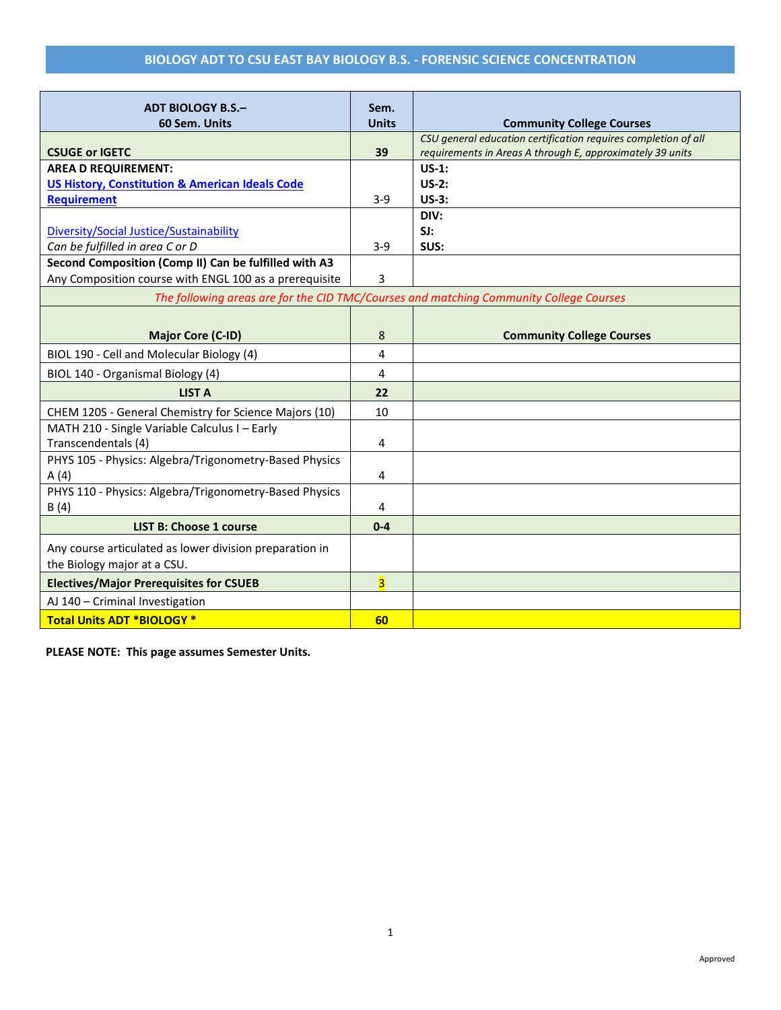## **BIOLOGY ADT TO CSU EAST BAY BIOLOGY B.S. - FORENSIC SCIENCE CONCENTRATION**

| <b>ADT BIOLOGY B.S.-</b>                                                               | Sem.                    |                                                                                                                             |  |  |
|----------------------------------------------------------------------------------------|-------------------------|-----------------------------------------------------------------------------------------------------------------------------|--|--|
| 60 Sem. Units                                                                          | <b>Units</b>            | <b>Community College Courses</b>                                                                                            |  |  |
| <b>CSUGE or IGETC</b>                                                                  | 39                      | CSU general education certification requires completion of all<br>requirements in Areas A through E, approximately 39 units |  |  |
| <b>AREA D REQUIREMENT:</b>                                                             |                         | $US-1$ :                                                                                                                    |  |  |
| <b>US History, Constitution &amp; American Ideals Code</b>                             |                         | $US-2:$                                                                                                                     |  |  |
| <b>Requirement</b>                                                                     | $3 - 9$                 | $US-3:$                                                                                                                     |  |  |
|                                                                                        |                         | DIV:                                                                                                                        |  |  |
| Diversity/Social Justice/Sustainability                                                |                         | SI:                                                                                                                         |  |  |
| Can be fulfilled in area C or D                                                        | $3 - 9$                 | SUS:                                                                                                                        |  |  |
| Second Composition (Comp II) Can be fulfilled with A3                                  |                         |                                                                                                                             |  |  |
| Any Composition course with ENGL 100 as a prerequisite                                 | 3                       |                                                                                                                             |  |  |
| The following areas are for the CID TMC/Courses and matching Community College Courses |                         |                                                                                                                             |  |  |
|                                                                                        |                         |                                                                                                                             |  |  |
| <b>Major Core (C-ID)</b>                                                               | 8                       | <b>Community College Courses</b>                                                                                            |  |  |
| BIOL 190 - Cell and Molecular Biology (4)                                              | 4                       |                                                                                                                             |  |  |
| BIOL 140 - Organismal Biology (4)                                                      | 4                       |                                                                                                                             |  |  |
| <b>LIST A</b>                                                                          | 22                      |                                                                                                                             |  |  |
| CHEM 120S - General Chemistry for Science Majors (10)                                  | 10                      |                                                                                                                             |  |  |
| MATH 210 - Single Variable Calculus I - Early                                          |                         |                                                                                                                             |  |  |
| Transcendentals (4)                                                                    | 4                       |                                                                                                                             |  |  |
| PHYS 105 - Physics: Algebra/Trigonometry-Based Physics                                 |                         |                                                                                                                             |  |  |
| A(4)                                                                                   | 4                       |                                                                                                                             |  |  |
| PHYS 110 - Physics: Algebra/Trigonometry-Based Physics                                 |                         |                                                                                                                             |  |  |
| B(4)                                                                                   | 4                       |                                                                                                                             |  |  |
| <b>LIST B: Choose 1 course</b>                                                         | $0 - 4$                 |                                                                                                                             |  |  |
| Any course articulated as lower division preparation in                                |                         |                                                                                                                             |  |  |
| the Biology major at a CSU.                                                            |                         |                                                                                                                             |  |  |
| <b>Electives/Major Prerequisites for CSUEB</b>                                         | $\overline{\mathbf{3}}$ |                                                                                                                             |  |  |
| AJ 140 - Criminal Investigation                                                        |                         |                                                                                                                             |  |  |
| <b>Total Units ADT *BIOLOGY *</b>                                                      | 60                      |                                                                                                                             |  |  |

**PLEASE NOTE: This page assumes Semester Units.**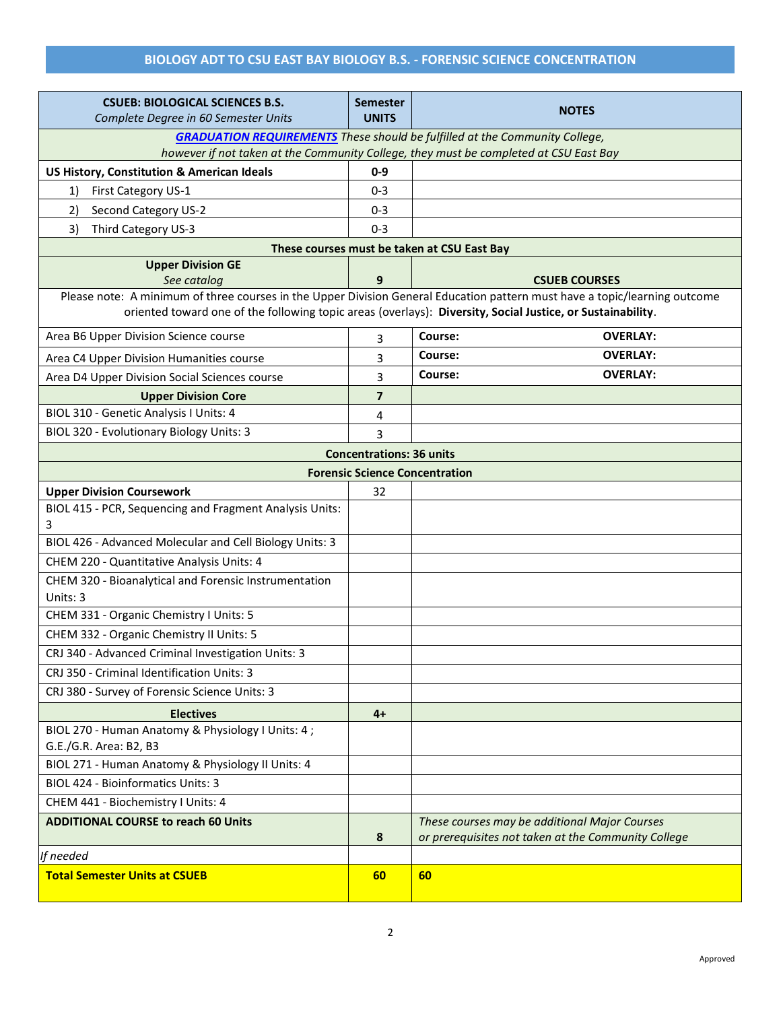## **BIOLOGY ADT TO CSU EAST BAY BIOLOGY B.S. - FORENSIC SCIENCE CONCENTRATION**

| <b>CSUEB: BIOLOGICAL SCIENCES B.S.</b><br>Complete Degree in 60 Semester Units                                                                                                                                                           | <b>Semester</b><br><b>UNITS</b>       | <b>NOTES</b>                                                                          |  |  |  |
|------------------------------------------------------------------------------------------------------------------------------------------------------------------------------------------------------------------------------------------|---------------------------------------|---------------------------------------------------------------------------------------|--|--|--|
| <b>GRADUATION REQUIREMENTS</b> These should be fulfilled at the Community College,                                                                                                                                                       |                                       |                                                                                       |  |  |  |
|                                                                                                                                                                                                                                          |                                       | however if not taken at the Community College, they must be completed at CSU East Bay |  |  |  |
| <b>US History, Constitution &amp; American Ideals</b>                                                                                                                                                                                    | $0 - 9$                               |                                                                                       |  |  |  |
| First Category US-1<br>1)                                                                                                                                                                                                                | 0-3                                   |                                                                                       |  |  |  |
| 2)<br>Second Category US-2                                                                                                                                                                                                               | 0-3                                   |                                                                                       |  |  |  |
| 3)<br>Third Category US-3                                                                                                                                                                                                                | $0 - 3$                               |                                                                                       |  |  |  |
|                                                                                                                                                                                                                                          |                                       | These courses must be taken at CSU East Bay                                           |  |  |  |
| <b>Upper Division GE</b>                                                                                                                                                                                                                 |                                       |                                                                                       |  |  |  |
| See catalog                                                                                                                                                                                                                              | 9                                     | <b>CSUEB COURSES</b>                                                                  |  |  |  |
| Please note: A minimum of three courses in the Upper Division General Education pattern must have a topic/learning outcome<br>oriented toward one of the following topic areas (overlays): Diversity, Social Justice, or Sustainability. |                                       |                                                                                       |  |  |  |
| Area B6 Upper Division Science course                                                                                                                                                                                                    | 3                                     | <b>OVERLAY:</b><br>Course:                                                            |  |  |  |
| Area C4 Upper Division Humanities course                                                                                                                                                                                                 | 3                                     | Course:<br><b>OVERLAY:</b>                                                            |  |  |  |
| Area D4 Upper Division Social Sciences course                                                                                                                                                                                            | 3                                     | Course:<br><b>OVERLAY:</b>                                                            |  |  |  |
| <b>Upper Division Core</b>                                                                                                                                                                                                               | 7                                     |                                                                                       |  |  |  |
| BIOL 310 - Genetic Analysis I Units: 4                                                                                                                                                                                                   | 4                                     |                                                                                       |  |  |  |
| BIOL 320 - Evolutionary Biology Units: 3                                                                                                                                                                                                 | 3                                     |                                                                                       |  |  |  |
|                                                                                                                                                                                                                                          | <b>Concentrations: 36 units</b>       |                                                                                       |  |  |  |
|                                                                                                                                                                                                                                          | <b>Forensic Science Concentration</b> |                                                                                       |  |  |  |
| <b>Upper Division Coursework</b>                                                                                                                                                                                                         | 32                                    |                                                                                       |  |  |  |
| BIOL 415 - PCR, Sequencing and Fragment Analysis Units:<br>3                                                                                                                                                                             |                                       |                                                                                       |  |  |  |
| BIOL 426 - Advanced Molecular and Cell Biology Units: 3                                                                                                                                                                                  |                                       |                                                                                       |  |  |  |
| CHEM 220 - Quantitative Analysis Units: 4                                                                                                                                                                                                |                                       |                                                                                       |  |  |  |
| CHEM 320 - Bioanalytical and Forensic Instrumentation                                                                                                                                                                                    |                                       |                                                                                       |  |  |  |
| Units: 3                                                                                                                                                                                                                                 |                                       |                                                                                       |  |  |  |
| CHEM 331 - Organic Chemistry I Units: 5                                                                                                                                                                                                  |                                       |                                                                                       |  |  |  |
| CHEM 332 - Organic Chemistry II Units: 5                                                                                                                                                                                                 |                                       |                                                                                       |  |  |  |
| CRJ 340 - Advanced Criminal Investigation Units: 3                                                                                                                                                                                       |                                       |                                                                                       |  |  |  |
| CRJ 350 - Criminal Identification Units: 3                                                                                                                                                                                               |                                       |                                                                                       |  |  |  |
| CRJ 380 - Survey of Forensic Science Units: 3                                                                                                                                                                                            |                                       |                                                                                       |  |  |  |
| <b>Electives</b>                                                                                                                                                                                                                         | $4+$                                  |                                                                                       |  |  |  |
| BIOL 270 - Human Anatomy & Physiology I Units: 4;<br>G.E./G.R. Area: B2, B3                                                                                                                                                              |                                       |                                                                                       |  |  |  |
| BIOL 271 - Human Anatomy & Physiology II Units: 4                                                                                                                                                                                        |                                       |                                                                                       |  |  |  |
| <b>BIOL 424 - Bioinformatics Units: 3</b>                                                                                                                                                                                                |                                       |                                                                                       |  |  |  |
| CHEM 441 - Biochemistry I Units: 4                                                                                                                                                                                                       |                                       |                                                                                       |  |  |  |
| <b>ADDITIONAL COURSE to reach 60 Units</b>                                                                                                                                                                                               |                                       | These courses may be additional Major Courses                                         |  |  |  |
|                                                                                                                                                                                                                                          | 8                                     | or prerequisites not taken at the Community College                                   |  |  |  |
| If needed                                                                                                                                                                                                                                |                                       |                                                                                       |  |  |  |
| <b>Total Semester Units at CSUEB</b>                                                                                                                                                                                                     | 60                                    | 60                                                                                    |  |  |  |